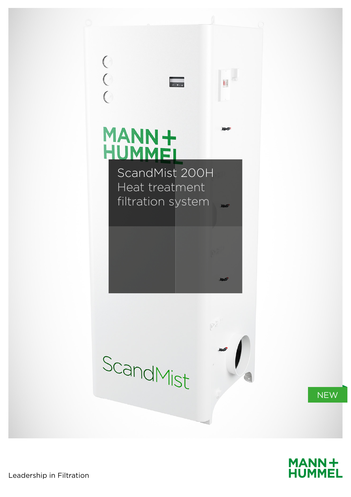



Leadership in Filtration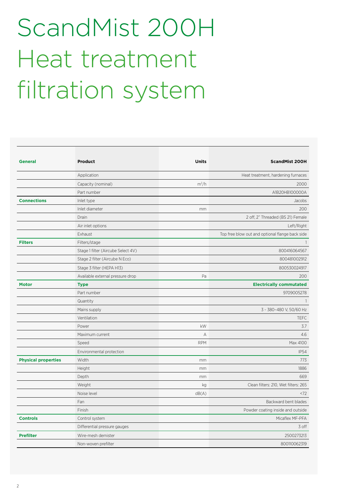## ScandMist 200H Heat treatment filtration system

| <b>General</b>             | <b>Product</b>                     | <b>Units</b> | <b>ScandMist 200H</b>                           |
|----------------------------|------------------------------------|--------------|-------------------------------------------------|
|                            | Application                        |              | Heat treatment, hardening furnaces              |
|                            | Capacity (nominal)                 | $m^3/h$      | 2000                                            |
|                            | Part number                        |              | A1B20HB100000A                                  |
| <b>Connections</b>         | Inlet type                         |              | Jacobs                                          |
|                            | Inlet diameter                     | mm           | 200                                             |
|                            | Drain                              |              | 2 off, 2" Threaded (BS 21) Female               |
|                            | Air inlet options                  |              | Left/Right                                      |
|                            | Exhaust                            |              | Top free blow out and optional flange back side |
| <b>Filters</b>             | Filters/stage                      |              |                                                 |
|                            | Stage 1 filter (Aircube Select 4V) |              | 800416064567                                    |
|                            | Stage 2 filter (Aircube N Eco)     |              | 800481002912                                    |
|                            | Stage 3 filter (HEPA H13)          |              | 800530024917                                    |
|                            | Available external pressure drop   | Pa           | 200                                             |
| <b>Motor</b>               | <b>Type</b>                        |              | <b>Electrically commutated</b>                  |
|                            | Part number                        |              | 9709005278                                      |
|                            | Quantity                           |              | $\overline{1}$                                  |
|                            | Mains supply                       |              | 3 ~ 380-480 V, 50/60 Hz                         |
|                            | Ventilation                        |              | <b>TEFC</b>                                     |
|                            | Power                              | kW           | 3.7                                             |
|                            | Maximum current                    | А            | 4.6                                             |
|                            | Speed                              | <b>RPM</b>   | Max 4100                                        |
|                            | Environmental protection           |              | <b>IP54</b>                                     |
| <b>Physical properties</b> | Width                              | mm           | 773                                             |
|                            | Height                             | mm           | 1886                                            |
|                            | Depth                              | mm           | 669                                             |
|                            | Weight                             | kg           | Clean filters: 210, Wet filters: 265            |
|                            | Noise level                        | dB(A)        | < 72                                            |
|                            | Fan                                |              | Backward bent blades                            |
|                            | Finish                             |              | Powder coating inside and outside               |
| <b>Controls</b>            | Control system                     |              | Micaflex MF-PFA                                 |
|                            | Differential pressure gauges       |              | 3 off                                           |
| <b>Prefilter</b>           | Wire-mesh demister                 |              | 2500273213                                      |
|                            | Non-woven prefilter                |              | 800110062319                                    |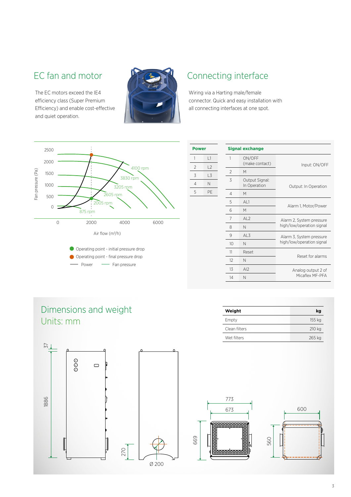The EC motors exceed the IE4 efficiency class (Super Premium Efficiency) and enable cost-effective and quiet operation.



## EC fan and motor  $\mathbb{C}$   $\mathbb{C}$  Connecting interface

**Power**

Wiring via a Harting male/female connector. Quick and easy installation with all connecting interfaces at one spot.



| Power               |         |                | <b>Signal exchange</b>         |                           |  |
|---------------------|---------|----------------|--------------------------------|---------------------------|--|
| $\mathbf{1}$        | L1      | 1              | ON/OFF<br>(make contact)       | Input: ON/OFF             |  |
| $\mathfrak{D}$      | L2      | $\overline{2}$ | M                              |                           |  |
| 3<br>$\overline{4}$ | L3<br>N | 3              | Output Signal:<br>In Operation | Output: In Operation      |  |
| 5                   | PE      | 4              | M                              |                           |  |
|                     |         | 5              | AL1                            |                           |  |
|                     |         | 6              | M                              | Alarm 1, Motor/Power      |  |
|                     |         | 7              | AL <sub>2</sub>                | Alarm 2, System pressure  |  |
|                     |         | 8              | N                              | high/low/operation signal |  |
|                     |         | 9              | AL3                            | Alarm 3, System pressure  |  |
|                     |         | 10             | N                              | high/low/operation signal |  |
|                     |         | 11             | Reset                          | Reset for alarms          |  |
|                     |         | 12             | N                              |                           |  |
|                     |         | 13             | AI2                            | Analog output 2 of        |  |
|                     |         | 14             | N                              | Micaflex MF-PFA           |  |
|                     |         |                |                                |                           |  |

## Dimensions and weight Units: mm



| Weight        | kg     |  |
|---------------|--------|--|
| Empty         | 155 kg |  |
| Clean filters | 210 kg |  |
| Wet filters   | 265 kg |  |
|               |        |  |